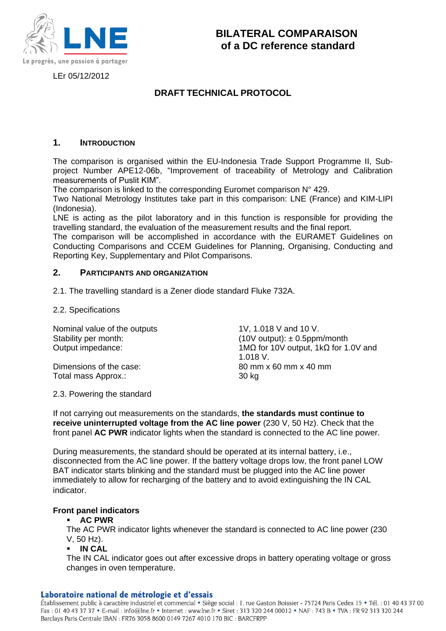

LEr 05/12/2012

# **DRAFT TECHNICAL PROTOCOL**

## **1. INTRODUCTION**

The comparison is organised within the EU-Indonesia Trade Support Programme II, Subproject Number APE12-06b, "Improvement of traceability of Metrology and Calibration measurements of Puslit KIM".

The comparison is linked to the corresponding Euromet comparison N° 429.

Two National Metrology Institutes take part in this comparison: LNE (France) and KIM-LIPI (Indonesia).

LNE is acting as the pilot laboratory and in this function is responsible for providing the travelling standard, the evaluation of the measurement results and the final report.

The comparison will be accomplished in accordance with the EURAMET Guidelines on Conducting Comparisons and CCEM Guidelines for Planning, Organising, Conducting and Reporting Key, Supplementary and Pilot Comparisons.

## **2. PARTICIPANTS AND ORGANIZATION**

2.1. The travelling standard is a Zener diode standard Fluke 732A.

## 2.2. Specifications

Nominal value of the outputs 1V, 1.018 V and 10 V.

Total mass Approx.: 30 kg

Stability per month: (10V output):  $\pm$  0.5ppm/month Output impedance: 1MΩ for 10V output, 1kΩ for 1.0V and 1.018 V. Dimensions of the case: 80 mm x 60 mm x 40 mm

## 2.3. Powering the standard

If not carrying out measurements on the standards, **the standards must continue to receive uninterrupted voltage from the AC line power** (230 V, 50 Hz). Check that the front panel **AC PWR** indicator lights when the standard is connected to the AC line power.

During measurements, the standard should be operated at its internal battery, i.e., disconnected from the AC line power. If the battery voltage drops low, the front panel LOW BAT indicator starts blinking and the standard must be plugged into the AC line power immediately to allow for recharging of the battery and to avoid extinguishing the IN CAL indicator.

## **Front panel indicators**

## **AC PWR**

The AC PWR indicator lights whenever the standard is connected to AC line power (230 V, 50 Hz).

**IN CAL**

The IN CAL indicator goes out after excessive drops in battery operating voltage or gross changes in oven temperature.

#### Laboratoire national de métrologie et d'essais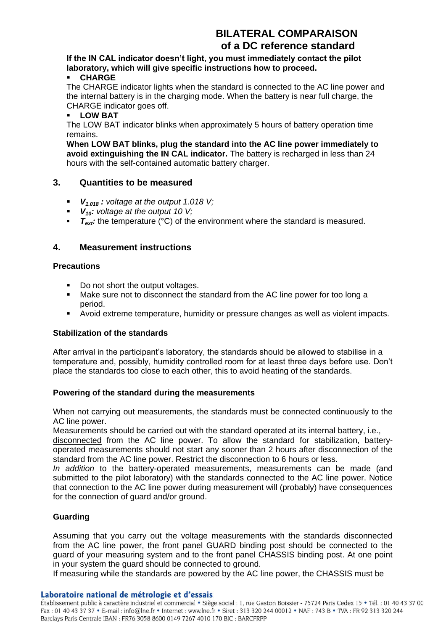# **BILATERAL COMPARAISON of a DC reference standard**

## **If the IN CAL indicator doesn't light, you must immediately contact the pilot laboratory, which will give specific instructions how to proceed.**

## **CHARGE**

The CHARGE indicator lights when the standard is connected to the AC line power and the internal battery is in the charging mode. When the battery is near full charge, the CHARGE indicator goes off.

## **LOW BAT**

The LOW BAT indicator blinks when approximately 5 hours of battery operation time remains.

**When LOW BAT blinks, plug the standard into the AC line power immediately to avoid extinguishing the IN CAL indicator.** The battery is recharged in less than 24 hours with the self-contained automatic battery charger.

## **3. Quantities to be measured**

- *V1.018 : voltage at the output 1.018 V;*
- *V10: voltage at the output 10 V;*
- **F**<sub>ext</sub>: the temperature (°C) of the environment where the standard is measured.

## **4. Measurement instructions**

## **Precautions**

- Do not short the output voltages.
- Make sure not to disconnect the standard from the AC line power for too long a period.
- Avoid extreme temperature, humidity or pressure changes as well as violent impacts.

## **Stabilization of the standards**

After arrival in the participant's laboratory, the standards should be allowed to stabilise in a temperature and, possibly, humidity controlled room for at least three days before use. Don't place the standards too close to each other, this to avoid heating of the standards.

## **Powering of the standard during the measurements**

When not carrying out measurements, the standards must be connected continuously to the AC line power.

Measurements should be carried out with the standard operated at its internal battery, i.e.,

disconnected from the AC line power. To allow the standard for stabilization, batteryoperated measurements should not start any sooner than 2 hours after disconnection of the standard from the AC line power. Restrict the disconnection to 6 hours or less.

*In addition* to the battery-operated measurements, measurements can be made (and submitted to the pilot laboratory) with the standards connected to the AC line power. Notice that connection to the AC line power during measurement will (probably) have consequences for the connection of guard and/or ground.

## **Guarding**

Assuming that you carry out the voltage measurements with the standards disconnected from the AC line power, the front panel GUARD binding post should be connected to the guard of your measuring system and to the front panel CHASSIS binding post. At one point in your system the guard should be connected to ground.

If measuring while the standards are powered by the AC line power, the CHASSIS must be

#### Laboratoire national de métrologie et d'essais

Établissement public à caractère industriel et commercial · Siège social : 1, rue Gaston Boissier - 75724 Paris Cedex 15 · Tél. : 01 40 43 37 00 Fax: 01 40 43 37 37 • E-mail: info@lne.fr • Internet: www.lne.fr • Siret: 313 320 244 00012 • NAF: 743 B • TVA: FR 92 313 320 244 Barclays Paris Centrale IBAN : FR76 3058 8600 0149 7267 4010 170 BIC : BARCFRPP